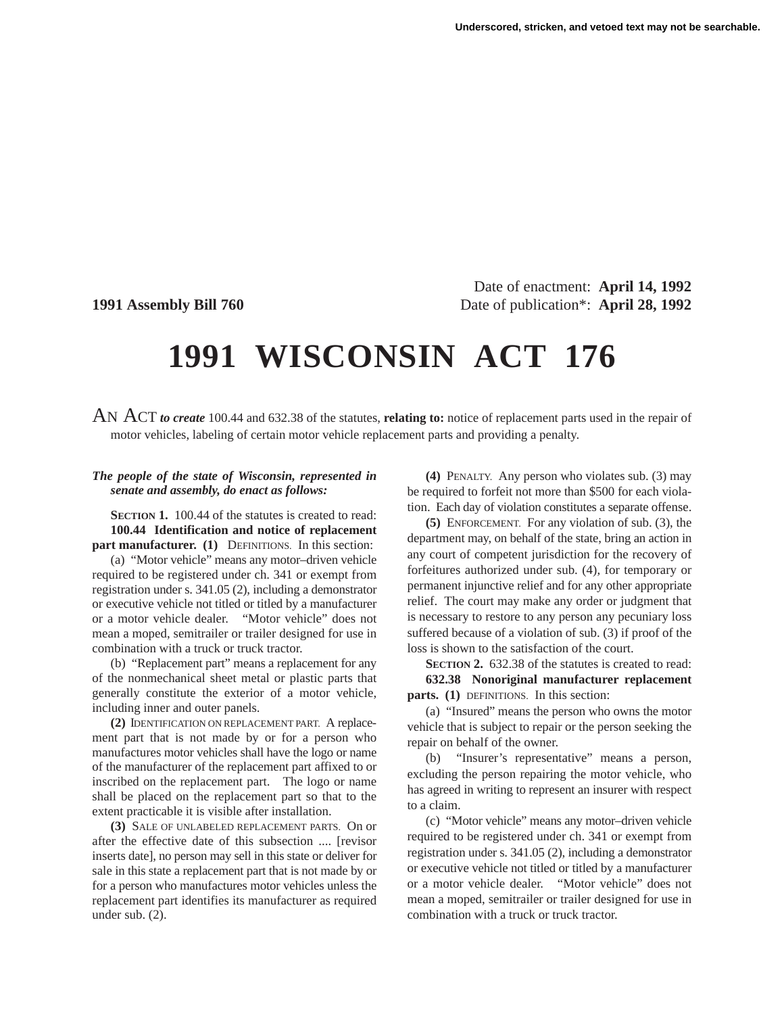Date of enactment: **April 14, 1992 1991 Assembly Bill 760** Date of publication\*: **April 28, 1992**

## **1991 WISCONSIN ACT 176**

AN ACT *to create* 100.44 and 632.38 of the statutes, **relating to:** notice of replacement parts used in the repair of motor vehicles, labeling of certain motor vehicle replacement parts and providing a penalty.

## *The people of the state of Wisconsin, represented in senate and assembly, do enact as follows:*

**SECTION 1.** 100.44 of the statutes is created to read: **100.44 Identification and notice of replacement part manufacturer. (1)** DEFINITIONS. In this section:

(a) "Motor vehicle" means any motor–driven vehicle required to be registered under ch. 341 or exempt from registration under s. 341.05 (2), including a demonstrator or executive vehicle not titled or titled by a manufacturer or a motor vehicle dealer. "Motor vehicle" does not mean a moped, semitrailer or trailer designed for use in combination with a truck or truck tractor.

(b) "Replacement part" means a replacement for any of the nonmechanical sheet metal or plastic parts that generally constitute the exterior of a motor vehicle, including inner and outer panels.

**(2)** IDENTIFICATION ON REPLACEMENT PART. A replacement part that is not made by or for a person who manufactures motor vehicles shall have the logo or name of the manufacturer of the replacement part affixed to or inscribed on the replacement part. The logo or name shall be placed on the replacement part so that to the extent practicable it is visible after installation.

**(3)** SALE OF UNLABELED REPLACEMENT PARTS. On or after the effective date of this subsection .... [revisor inserts date], no person may sell in this state or deliver for sale in this state a replacement part that is not made by or for a person who manufactures motor vehicles unless the replacement part identifies its manufacturer as required under sub. (2).

**(4)** PENALTY. Any person who violates sub. (3) may be required to forfeit not more than \$500 for each violation. Each day of violation constitutes a separate offense.

**(5)** ENFORCEMENT. For any violation of sub. (3), the department may, on behalf of the state, bring an action in any court of competent jurisdiction for the recovery of forfeitures authorized under sub. (4), for temporary or permanent injunctive relief and for any other appropriate relief. The court may make any order or judgment that is necessary to restore to any person any pecuniary loss suffered because of a violation of sub. (3) if proof of the loss is shown to the satisfaction of the court.

**SECTION 2.** 632.38 of the statutes is created to read: **632.38 Nonoriginal manufacturer replacement parts. (1)** DEFINITIONS. In this section:

(a) "Insured" means the person who owns the motor vehicle that is subject to repair or the person seeking the repair on behalf of the owner.

(b) "Insurer's representative" means a person, excluding the person repairing the motor vehicle, who has agreed in writing to represent an insurer with respect to a claim.

(c) "Motor vehicle" means any motor–driven vehicle required to be registered under ch. 341 or exempt from registration under s. 341.05 (2), including a demonstrator or executive vehicle not titled or titled by a manufacturer or a motor vehicle dealer. "Motor vehicle" does not mean a moped, semitrailer or trailer designed for use in combination with a truck or truck tractor.